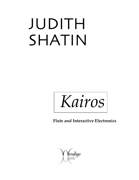## JUDITH SHATIN



**Flute and Interactive Electronics**

*Nendigo*<br>*Ausic*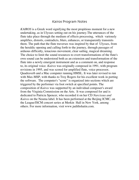## Kairos Program Notes

*KAIROS* is a Greek word signifying the most propitious moment for a new undertaking, as in Ulysses setting out on his journey.The utterances of the flute take place through the medium of effects processing, which variously amplifies, distorts, contradicts, blurs, enhances, or transparently transmits them. The path that the flute traverses was inspired by that of Ulysses, from the heraldic opening and calling forth to the journey, through passages of arduous difficulty, tenacious movement, clear sailing, magical dreaming. The choice to limit the sound resources to overt transformations of the flute's own sound can be understood both as an extension and transformation of the flute into a newly emergent instrument and as a comment on, and response to, its original voice. *Kairos* was originally composed in 1991, with program revisions in 1995, and was scored for amplified flute, voice processor, Quadraverb and a Mac computer running HMSL. It was later revised to run with Max-MSP, with thanks to Troy Rogers for his excellent work in porting the software. The computer's "score" is organized into sections which are triggered by the performer via foot switch at specified points. The composition of *Kairos* was supported by an individual composer's award from the Virginia Commission on the Arts. It was composed for and is dedicated to Patricia Spencer, who recorded it on her CD *Narcissus and Kairos* on the Neuma label. It has been performed at the Beijing ICMC, on the League/ISCM concert series at Merkin Hall in New York, among others. For more information, visit www.judithshatin.com.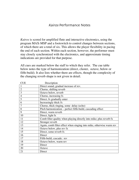## Kairos Performance Notes

*Kairos* is scored for amplified flute and interactive electronics, using the program MAX-MSP and a footswitch to control changes between sections, of which there are a total of six. This allows the player flexibility in pacing the end of each section. Within each section, however, the performer must stay closely synchronized with the electronics, and approximate timing indications are provided for that purpose.

All cues are marked below the staff to which they refer. The cue table below notes the type of harmonization (direct, cluster, octave, below or fifth-build). It also lists whether there are effects, though the complexity of the changing reverb shape is not given in detail.

| Description                                                          |
|----------------------------------------------------------------------|
| Direct sound, gradual increase of rev.                               |
| Chorus, shifting reverb                                              |
| Octave below, reverb                                                 |
| Chorus, increasing fx                                                |
| Direct, fx gradually enter                                           |
| Increasingly thick fx                                                |
| Chorus, thick ringing, some delay (echo)                             |
| Pitch harmonization – perfect fifth-build, cascading effect          |
| Direct, warm reverb                                                  |
| Direct, light fx                                                     |
| Comb filter quality when playing directly into mike; plus reverb fx  |
| Stronger reverb                                                      |
| Again, comb filter effect when singing into mike, otherwise warm rev |
| Octave below, plus rev fx                                            |
| Direct, some reverb fx                                               |
| Direct                                                               |
| Fifth-build, cascade; rev                                            |
| Octave below, warm rev                                               |
| Direct                                                               |
| Octave                                                               |
| Direct                                                               |
|                                                                      |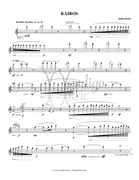## **KAIROS**

**Judith Shatin Heraldic, Resolute**  $\downarrow$  = ca. 76 SECTION 1 ≥<br>1  $\hat{P}$ . ∫<br>₽<br>€ o  $\frac{a}{2}$   $\neq$   $\frac{a}{2}$  $rac{6}{5}$   $rac{6}{5}$  $\frac{2}{\pi}$ e e $\frac{2}{\pi}$ .<br><u>مُ م</u> گ 。<br>≗ p j œ œ œ Œ <u>i</u> Œ  $\overline{\mathbf{A}}$ H k <sup>P</sup>  $s$ ff **Cue 1** *cresc.* ¯  $\hat{\mathbf{r}}$  = - ¯ Ń Ń œ o  $\frac{2}{5}$   $\frac{2}{5}$ e<br>E e ê e<br>e e e  $\frac{1}{2}$   $\frac{1}{2}$   $\frac{1}{2}$ o  $\frac{e}{1}$ œ œ œ Œ. Œ Œ Œ  $\Phi$  $\overline{\phantom{a}}$  $m f$  $\boldsymbol{p}$ *dim.* Ÿ **RH1** >,<br>? e >,<br><u>P</u> ><br><u>?</u> - - Ń j œ ˘ , œ œ  $\frac{1}{2}$  e Ń œ Bœ é ìe  $\overline{E}$   $\overline{E}$   $\overline{E}$  $\sum$ **Exercise** Ó Œ Œ Ó Œ Œ *4:3* mf $\ll f$  $\widetilde{\mathbf{P}}$   $\mathbf{P}$ o<br>E po 。<br>゠゚゠゚  $\frac{1}{2}$  $\frac{c}{c}$   $\frac{d}{c}$  $y \sim$ #œ o œ e e  $\frac{1}{2}$  $\bullet \stackrel{\circ}{\mathsf{P}}$  $\Omega^{\circ}_{\bullet}$ t<br>0 œ. œ  $\begin{picture}(180,10) \put(0,0){\vector(1,0){100}} \put(10,0){\vector(1,0){100}} \put(10,0){\vector(1,0){100}} \put(10,0){\vector(1,0){100}} \put(10,0){\vector(1,0){100}} \put(10,0){\vector(1,0){100}} \put(10,0){\vector(1,0){100}} \put(10,0){\vector(1,0){100}} \put(10,0){\vector(1,0){100}} \put(10,0){\vector(1,0){100}} \put(10,0){\vector(1,0){100}}$ œ œ  $\sum_{i=1}^n$ œ. œ J Œ }œ }œ }œ }œ }œ Ó Œ  $\Phi$ }œ  $\updownarrow$  $\frac{1}{\Phi}$ }œ }œ  $\overline{(\bullet)}$ œ *3 3* π *echo*  $\boldsymbol{m}\boldsymbol{p}$  $\overline{\phantom{a}}$ f *cresc.*  $\begin{array}{c} \begin{array}{c} \circ \\ \bullet \\ \hline \end{array} \end{array}$ 。<br>— 。<br>— 。 o œ 。<br>— 。<br>— , 。<br>— <br> o œ o œ. o œ o œ o<br>Le o<br>2 e  $_{\bullet}^{\circ}$   $_{\bullet}^{\circ}$ o<br>L  $\frac{2}{3}$ o ˙ K **(3)\*** .<br>.<br>.  $\begin{picture}(180,10) \put(0,0){\line(1,0){10}} \put(10,0){\line(1,0){10}} \put(10,0){\line(1,0){10}} \put(10,0){\line(1,0){10}} \put(10,0){\line(1,0){10}} \put(10,0){\line(1,0){10}} \put(10,0){\line(1,0){10}} \put(10,0){\line(1,0){10}} \put(10,0){\line(1,0){10}} \put(10,0){\line(1,0){10}} \put(10,0){\line(1,0){10}} \put(10,0){\line($  $\overset{\circ}{\mathsf{P}}$ K  $\frac{2}{3}$ .  $\overline{A}$ Œ Œ  $\Phi$ ˙. .  $\overline{\Phi}$ ˙ }œ f  $\boldsymbol{p}$  $m f$ p  $\bar{f}$  $\overline{\phantom{a}}$ *cresc.* o o o  $\triangleq$   $\triangleq$  $\sum_{i=1}^{\infty}$ o o  $\begin{smallmatrix} \bullet \ \bullet \end{smallmatrix}$  $\frac{1}{2}$ 。<br>—<br>— **●** e ⊇<br>L o è o œ o œ  $\overset{\circ}{\bullet}$   $\overset{\circ}{\bullet}$  $\hat{\mathbf{e}}$   $\hat{\mathbf{e}}$ o o  $\frac{1}{2}$ o o  $\bullet$   $\bullet$ œ œ œ  $\begin{array}{c}\n\bullet \\
\bullet \\
\bullet \\
\bullet\n\end{array}$ œ  $\begin{array}{c}\n\bullet \\
\bullet \\
\bullet \\
\bullet\n\end{array}$ œ œ œ &  $\frac{1}{\mathbb{P}^2}$ }œ  $\leq f$  $\mathbf{m}$  $\boldsymbol{p}$  $\bar{e}$ *cresc.* o<br>E e  $\frac{1}{2}$  $\frac{1}{2}$  $\sum_{i=1}^{n}$ o  $\overline{\phantom{a}}$   $\overline{\phantom{a}}$   $\overline{\phantom{a}}$   $\overline{\phantom{a}}$   $\overline{\phantom{a}}$   $\overline{\phantom{a}}$   $\overline{\phantom{a}}$   $\overline{\phantom{a}}$   $\overline{\phantom{a}}$   $\overline{\phantom{a}}$   $\overline{\phantom{a}}$   $\overline{\phantom{a}}$   $\overline{\phantom{a}}$   $\overline{\phantom{a}}$   $\overline{\phantom{a}}$   $\overline{\phantom{a}}$   $\overline{\phantom{a}}$   $\overline{\phantom{a}}$   $\overline{\$  $\geqslant$  $\bullet$   $\bullet$ o œ  $\overset{\circ}{\bullet}$   $\overset{\circ}{\bullet}$ o<br>P<br>P  $\begin{array}{c}\n\bullet \\
\bullet \\
\bullet\n\end{array}$ œ o o œ œ œ J ‰ ∑  $\Phi$ **ff** Let sound fade ī  $sfmp$ f Τ

*(cresc.)*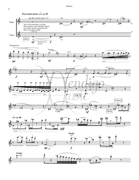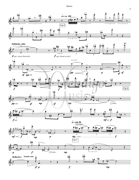![](_page_6_Figure_1.jpeg)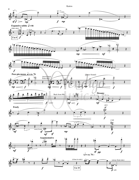![](_page_7_Figure_0.jpeg)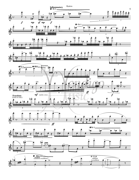![](_page_8_Figure_0.jpeg)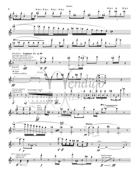![](_page_9_Figure_0.jpeg)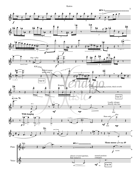![](_page_10_Figure_1.jpeg)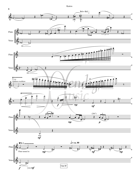![](_page_11_Figure_1.jpeg)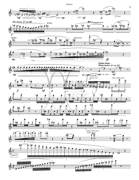![](_page_12_Figure_0.jpeg)